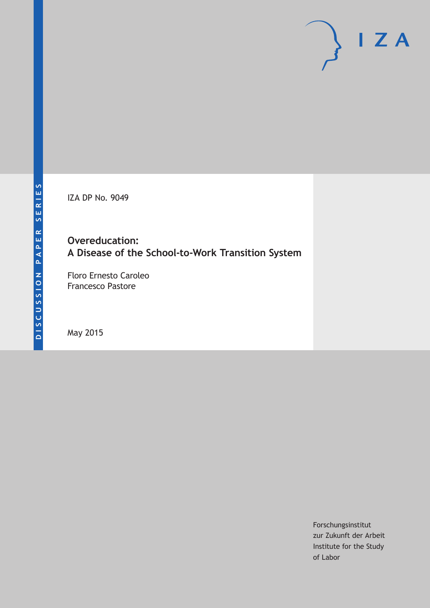IZA DP No. 9049

**Overeducation: A Disease of the School-to-Work Transition System**

Floro Ernesto Caroleo Francesco Pastore

May 2015

Forschungsinstitut zur Zukunft der Arbeit Institute for the Study of Labor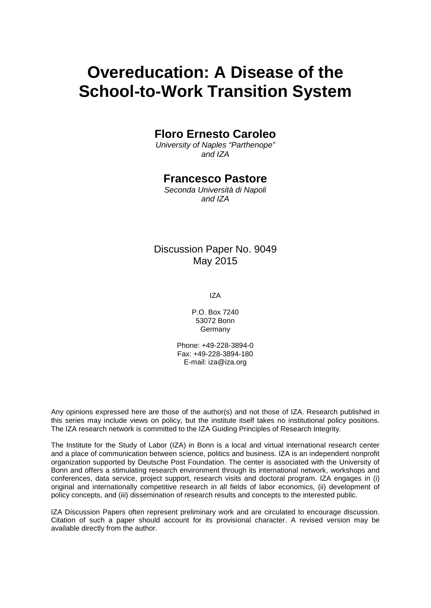# **Overeducation: A Disease of the School-to-Work Transition System**

# **Floro Ernesto Caroleo**

*University of Naples "Parthenope" and IZA*

# **Francesco Pastore**

*Seconda Università di Napoli and IZA*

# Discussion Paper No. 9049 May 2015

IZA

P.O. Box 7240 53072 Bonn Germany

Phone: +49-228-3894-0 Fax: +49-228-3894-180 E-mail: iza@iza.org

Any opinions expressed here are those of the author(s) and not those of IZA. Research published in this series may include views on policy, but the institute itself takes no institutional policy positions. The IZA research network is committed to the IZA Guiding Principles of Research Integrity.

The Institute for the Study of Labor (IZA) in Bonn is a local and virtual international research center and a place of communication between science, politics and business. IZA is an independent nonprofit organization supported by Deutsche Post Foundation. The center is associated with the University of Bonn and offers a stimulating research environment through its international network, workshops and conferences, data service, project support, research visits and doctoral program. IZA engages in (i) original and internationally competitive research in all fields of labor economics, (ii) development of policy concepts, and (iii) dissemination of research results and concepts to the interested public.

<span id="page-1-0"></span>IZA Discussion Papers often represent preliminary work and are circulated to encourage discussion. Citation of such a paper should account for its provisional character. A revised version may be available directly from the author.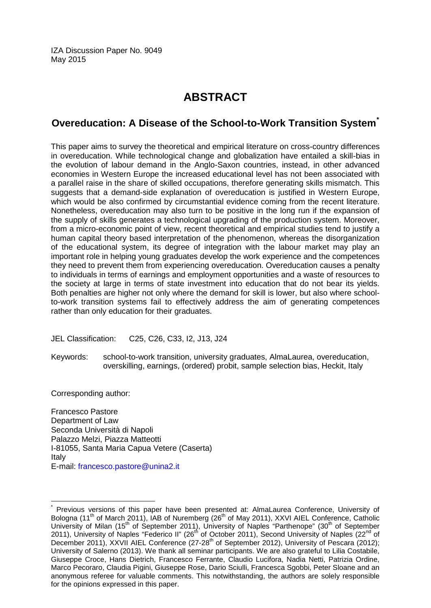IZA Discussion Paper No. 9049 May 2015

# **ABSTRACT**

# **Overeducation: A Disease of the School-to-Work Transition System[\\*](#page-1-0)**

This paper aims to survey the theoretical and empirical literature on cross-country differences in overeducation. While technological change and globalization have entailed a skill-bias in the evolution of labour demand in the Anglo-Saxon countries, instead, in other advanced economies in Western Europe the increased educational level has not been associated with a parallel raise in the share of skilled occupations, therefore generating skills mismatch. This suggests that a demand-side explanation of overeducation is justified in Western Europe, which would be also confirmed by circumstantial evidence coming from the recent literature. Nonetheless, overeducation may also turn to be positive in the long run if the expansion of the supply of skills generates a technological upgrading of the production system. Moreover, from a micro-economic point of view, recent theoretical and empirical studies tend to justify a human capital theory based interpretation of the phenomenon, whereas the disorganization of the educational system, its degree of integration with the labour market may play an important role in helping young graduates develop the work experience and the competences they need to prevent them from experiencing overeducation. Overeducation causes a penalty to individuals in terms of earnings and employment opportunities and a waste of resources to the society at large in terms of state investment into education that do not bear its yields. Both penalties are higher not only where the demand for skill is lower, but also where schoolto-work transition systems fail to effectively address the aim of generating competences rather than only education for their graduates.

JEL Classification: C25, C26, C33, I2, J13, J24

Keywords: school-to-work transition, university graduates, AlmaLaurea, overeducation, overskilling, earnings, (ordered) probit, sample selection bias, Heckit, Italy

Corresponding author:

Francesco Pastore Department of Law Seconda Università di Napoli Palazzo Melzi, Piazza Matteotti I-81055, Santa Maria Capua Vetere (Caserta) Italy E-mail: [francesco.pastore@unina2.it](mailto:francesco.pastore@unina2.it)

Previous versions of this paper have been presented at: AlmaLaurea Conference, University of Bologna (11<sup>th</sup> of March 2011), IAB of Nuremberg (26<sup>th</sup> of May 2011), XXVI AIEL Conference, Catholic University of Milan (15<sup>th</sup> of September 2011), University of Naples "Parthenope" (30<sup>th</sup> of September 2011), University of Naples "Federico II" (26<sup>th</sup> of October 2011), Second University of Naples (22<sup>nd</sup> of December 2011), XXVII AIEL Conference (27-28<sup>th</sup> of September 2012), University of Pescara (2012); University of Salerno (2013). We thank all seminar participants. We are also grateful to Lilia Costabile, Giuseppe Croce, Hans Dietrich, Francesco Ferrante, Claudio Lucifora, Nadia Netti, Patrizia Ordine, Marco Pecoraro, Claudia Pigini, Giuseppe Rose, Dario Sciulli, Francesca Sgobbi, Peter Sloane and an anonymous referee for valuable comments. This notwithstanding, the authors are solely responsible for the opinions expressed in this paper.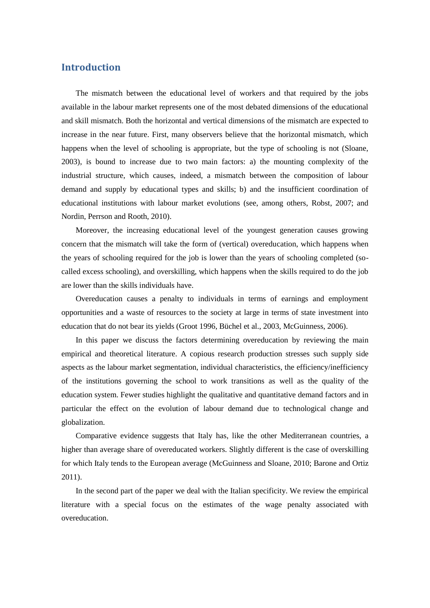# **Introduction**

The mismatch between the educational level of workers and that required by the jobs available in the labour market represents one of the most debated dimensions of the educational and skill mismatch. Both the horizontal and vertical dimensions of the mismatch are expected to increase in the near future. First, many observers believe that the horizontal mismatch, which happens when the level of schooling is appropriate, but the type of schooling is not (Sloane, 2003), is bound to increase due to two main factors: a) the mounting complexity of the industrial structure, which causes, indeed, a mismatch between the composition of labour demand and supply by educational types and skills; b) and the insufficient coordination of educational institutions with labour market evolutions (see, among others, Robst, 2007; and Nordin, Perrson and Rooth, 2010).

Moreover, the increasing educational level of the youngest generation causes growing concern that the mismatch will take the form of (vertical) overeducation, which happens when the years of schooling required for the job is lower than the years of schooling completed (socalled excess schooling), and overskilling, which happens when the skills required to do the job are lower than the skills individuals have.

Overeducation causes a penalty to individuals in terms of earnings and employment opportunities and a waste of resources to the society at large in terms of state investment into education that do not bear its yields (Groot 1996, Büchel et al., 2003, McGuinness, 2006).

In this paper we discuss the factors determining overeducation by reviewing the main empirical and theoretical literature. A copious research production stresses such supply side aspects as the labour market segmentation, individual characteristics, the efficiency/inefficiency of the institutions governing the school to work transitions as well as the quality of the education system. Fewer studies highlight the qualitative and quantitative demand factors and in particular the effect on the evolution of labour demand due to technological change and globalization.

Comparative evidence suggests that Italy has, like the other Mediterranean countries, a higher than average share of overeducated workers. Slightly different is the case of overskilling for which Italy tends to the European average (McGuinness and Sloane, 2010; Barone and Ortiz 2011).

In the second part of the paper we deal with the Italian specificity. We review the empirical literature with a special focus on the estimates of the wage penalty associated with overeducation.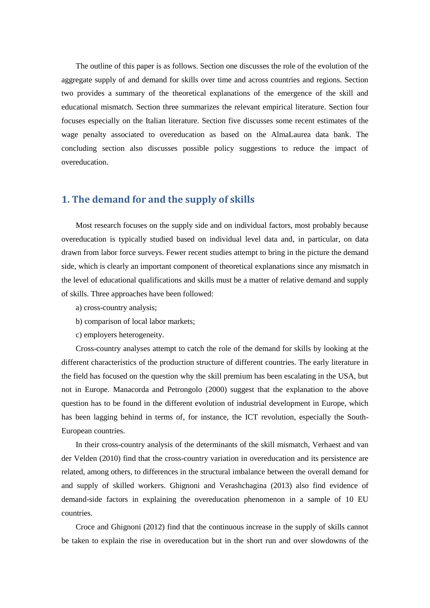The outline of this paper is as follows. Section one discusses the role of the evolution of the aggregate supply of and demand for skills over time and across countries and regions. Section two provides a summary of the theoretical explanations of the emergence of the skill and educational mismatch. Section three summarizes the relevant empirical literature. Section four focuses especially on the Italian literature. Section five discusses some recent estimates of the wage penalty associated to overeducation as based on the AlmaLaurea data bank. The concluding section also discusses possible policy suggestions to reduce the impact of overeducation.

### **1. The demand for and the supply of skills**

Most research focuses on the supply side and on individual factors, most probably because overeducation is typically studied based on individual level data and, in particular, on data drawn from labor force surveys. Fewer recent studies attempt to bring in the picture the demand side, which is clearly an important component of theoretical explanations since any mismatch in the level of educational qualifications and skills must be a matter of relative demand and supply of skills. Three approaches have been followed:

- a) cross-country analysis;
- b) comparison of local labor markets;
- c) employers heterogeneity.

Cross-country analyses attempt to catch the role of the demand for skills by looking at the different characteristics of the production structure of different countries. The early literature in the field has focused on the question why the skill premium has been escalating in the USA, but not in Europe. Manacorda and Petrongolo (2000) suggest that the explanation to the above question has to be found in the different evolution of industrial development in Europe, which has been lagging behind in terms of, for instance, the ICT revolution, especially the South-European countries.

In their cross-country analysis of the determinants of the skill mismatch, Verhaest and van der Velden (2010) find that the cross-country variation in overeducation and its persistence are related, among others, to differences in the structural imbalance between the overall demand for and supply of skilled workers. Ghignoni and Verashchagina (2013) also find evidence of demand-side factors in explaining the overeducation phenomenon in a sample of 10 EU countries.

Croce and Ghignoni (2012) find that the continuous increase in the supply of skills cannot be taken to explain the rise in overeducation but in the short run and over slowdowns of the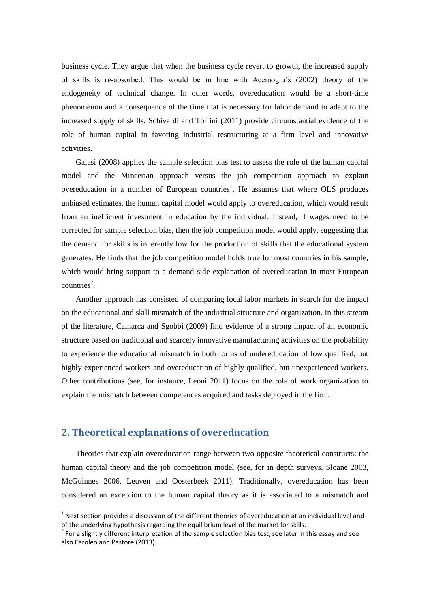business cycle. They argue that when the business cycle revert to growth, the increased supply of skills is re-absorbed. This would be in line with Acemoglu's (2002) theory of the endogeneity of technical change. In other words, overeducation would be a short-time phenomenon and a consequence of the time that is necessary for labor demand to adapt to the increased supply of skills. Schivardi and Torrini (2011) provide circumstantial evidence of the role of human capital in favoring industrial restructuring at a firm level and innovative activities.

Galasi (2008) applies the sample selection bias test to assess the role of the human capital model and the Mincerian approach versus the job competition approach to explain overeducation in a number of European countries<sup>1</sup>. He assumes that where OLS produces unbiased estimates, the human capital model would apply to overeducation, which would result from an inefficient investment in education by the individual. Instead, if wages need to be corrected for sample selection bias, then the job competition model would apply, suggesting that the demand for skills is inherently low for the production of skills that the educational system generates. He finds that the job competition model holds true for most countries in his sample, which would bring support to a demand side explanation of overeducation in most European  $countries<sup>2</sup>$ .

Another approach has consisted of comparing local labor markets in search for the impact on the educational and skill mismatch of the industrial structure and organization. In this stream of the literature, Cainarca and Sgobbi (2009) find evidence of a strong impact of an economic structure based on traditional and scarcely innovative manufacturing activities on the probability to experience the educational mismatch in both forms of undereducation of low qualified, but highly experienced workers and overeducation of highly qualified, but unexperienced workers. Other contributions (see, for instance, Leoni 2011) focus on the role of work organization to explain the mismatch between competences acquired and tasks deployed in the firm.

## **2. Theoretical explanations of overeducation**

1

Theories that explain overeducation range between two opposite theoretical constructs: the human capital theory and the job competition model (see, for in depth surveys, Sloane 2003, McGuinnes 2006, Leuven and Oosterbeek 2011). Traditionally, overeducation has been considered an exception to the human capital theory as it is associated to a mismatch and

 $1$  Next section provides a discussion of the different theories of overeducation at an individual level and of the underlying hypothesis regarding the equilibrium level of the market for skills.

 $2$  For a slightly different interpretation of the sample selection bias test, see later in this essay and see also Caroleo and Pastore (2013).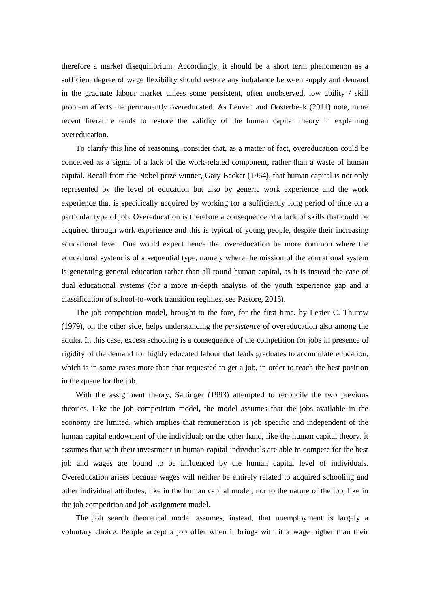therefore a market disequilibrium. Accordingly, it should be a short term phenomenon as a sufficient degree of wage flexibility should restore any imbalance between supply and demand in the graduate labour market unless some persistent, often unobserved, low ability / skill problem affects the permanently overeducated. As Leuven and Oosterbeek (2011) note, more recent literature tends to restore the validity of the human capital theory in explaining overeducation.

To clarify this line of reasoning, consider that, as a matter of fact, overeducation could be conceived as a signal of a lack of the work-related component, rather than a waste of human capital. Recall from the Nobel prize winner, Gary Becker (1964), that human capital is not only represented by the level of education but also by generic work experience and the work experience that is specifically acquired by working for a sufficiently long period of time on a particular type of job. Overeducation is therefore a consequence of a lack of skills that could be acquired through work experience and this is typical of young people, despite their increasing educational level. One would expect hence that overeducation be more common where the educational system is of a sequential type, namely where the mission of the educational system is generating general education rather than all-round human capital, as it is instead the case of dual educational systems (for a more in-depth analysis of the youth experience gap and a classification of school-to-work transition regimes, see Pastore, 2015).

The job competition model, brought to the fore, for the first time, by Lester C. Thurow (1979), on the other side, helps understanding the *persistence* of overeducation also among the adults. In this case, excess schooling is a consequence of the competition for jobs in presence of rigidity of the demand for highly educated labour that leads graduates to accumulate education, which is in some cases more than that requested to get a job, in order to reach the best position in the queue for the job.

With the assignment theory, Sattinger (1993) attempted to reconcile the two previous theories. Like the job competition model, the model assumes that the jobs available in the economy are limited, which implies that remuneration is job specific and independent of the human capital endowment of the individual; on the other hand, like the human capital theory, it assumes that with their investment in human capital individuals are able to compete for the best job and wages are bound to be influenced by the human capital level of individuals. Overeducation arises because wages will neither be entirely related to acquired schooling and other individual attributes, like in the human capital model, nor to the nature of the job, like in the job competition and job assignment model.

The job search theoretical model assumes, instead, that unemployment is largely a voluntary choice. People accept a job offer when it brings with it a wage higher than their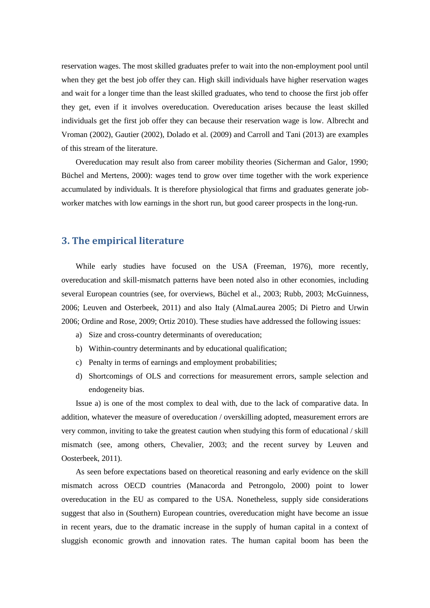reservation wages. The most skilled graduates prefer to wait into the non-employment pool until when they get the best job offer they can. High skill individuals have higher reservation wages and wait for a longer time than the least skilled graduates, who tend to choose the first job offer they get, even if it involves overeducation. Overeducation arises because the least skilled individuals get the first job offer they can because their reservation wage is low. Albrecht and Vroman (2002), Gautier (2002), Dolado et al. (2009) and Carroll and Tani (2013) are examples of this stream of the literature.

Overeducation may result also from career mobility theories (Sicherman and Galor, 1990; Büchel and Mertens, 2000): wages tend to grow over time together with the work experience accumulated by individuals. It is therefore physiological that firms and graduates generate jobworker matches with low earnings in the short run, but good career prospects in the long-run.

# **3. The empirical literature**

While early studies have focused on the USA (Freeman, 1976), more recently, overeducation and skill-mismatch patterns have been noted also in other economies, including several European countries (see, for overviews, Büchel et al., 2003; Rubb, 2003; McGuinness, 2006; Leuven and Osterbeek, 2011) and also Italy (AlmaLaurea 2005; Di Pietro and Urwin 2006; Ordine and Rose, 2009; Ortiz 2010). These studies have addressed the following issues:

- a) Size and cross-country determinants of overeducation;
- b) Within-country determinants and by educational qualification;
- c) Penalty in terms of earnings and employment probabilities;
- d) Shortcomings of OLS and corrections for measurement errors, sample selection and endogeneity bias.

Issue a) is one of the most complex to deal with, due to the lack of comparative data. In addition, whatever the measure of overeducation / overskilling adopted, measurement errors are very common, inviting to take the greatest caution when studying this form of educational / skill mismatch (see, among others, Chevalier, 2003; and the recent survey by Leuven and Oosterbeek, 2011).

As seen before expectations based on theoretical reasoning and early evidence on the skill mismatch across OECD countries (Manacorda and Petrongolo, 2000) point to lower overeducation in the EU as compared to the USA. Nonetheless, supply side considerations suggest that also in (Southern) European countries, overeducation might have become an issue in recent years, due to the dramatic increase in the supply of human capital in a context of sluggish economic growth and innovation rates. The human capital boom has been the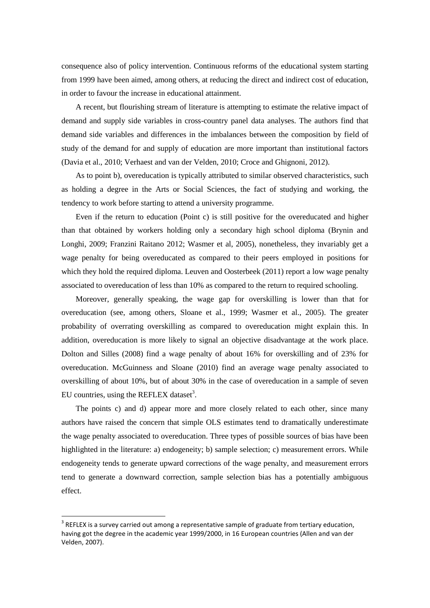consequence also of policy intervention. Continuous reforms of the educational system starting from 1999 have been aimed, among others, at reducing the direct and indirect cost of education, in order to favour the increase in educational attainment.

A recent, but flourishing stream of literature is attempting to estimate the relative impact of demand and supply side variables in cross-country panel data analyses. The authors find that demand side variables and differences in the imbalances between the composition by field of study of the demand for and supply of education are more important than institutional factors (Davia et al., 2010; Verhaest and van der Velden, 2010; Croce and Ghignoni, 2012).

As to point b), overeducation is typically attributed to similar observed characteristics, such as holding a degree in the Arts or Social Sciences, the fact of studying and working, the tendency to work before starting to attend a university programme.

Even if the return to education (Point c) is still positive for the overeducated and higher than that obtained by workers holding only a secondary high school diploma (Brynin and Longhi, 2009; Franzini Raitano 2012; Wasmer et al, 2005), nonetheless, they invariably get a wage penalty for being overeducated as compared to their peers employed in positions for which they hold the required diploma. Leuven and Oosterbeek (2011) report a low wage penalty associated to overeducation of less than 10% as compared to the return to required schooling.

Moreover, generally speaking, the wage gap for overskilling is lower than that for overeducation (see, among others, Sloane et al., 1999; Wasmer et al., 2005). The greater probability of overrating overskilling as compared to overeducation might explain this. In addition, overeducation is more likely to signal an objective disadvantage at the work place. Dolton and Silles (2008) find a wage penalty of about 16% for overskilling and of 23% for overeducation. McGuinness and Sloane (2010) find an average wage penalty associated to overskilling of about 10%, but of about 30% in the case of overeducation in a sample of seven EU countries, using the REFLEX dataset<sup>3</sup>.

The points c) and d) appear more and more closely related to each other, since many authors have raised the concern that simple OLS estimates tend to dramatically underestimate the wage penalty associated to overeducation. Three types of possible sources of bias have been highlighted in the literature: a) endogeneity; b) sample selection; c) measurement errors. While endogeneity tends to generate upward corrections of the wage penalty, and measurement errors tend to generate a downward correction, sample selection bias has a potentially ambiguous effect.

**.** 

 $3$  REFLEX is a survey carried out among a representative sample of graduate from tertiary education, having got the degree in the academic year 1999/2000, in 16 European countries (Allen and van der Velden, 2007).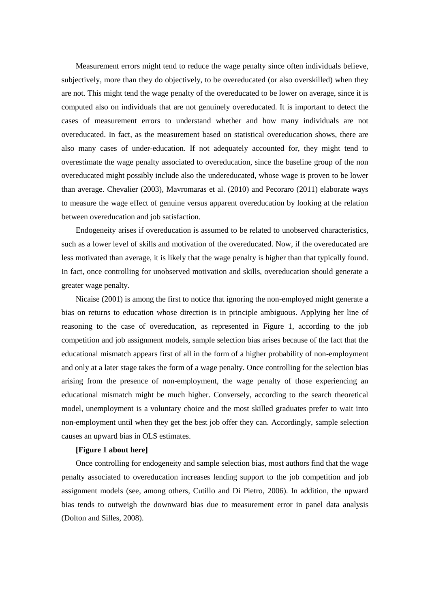Measurement errors might tend to reduce the wage penalty since often individuals believe, subjectively, more than they do objectively, to be overeducated (or also overskilled) when they are not. This might tend the wage penalty of the overeducated to be lower on average, since it is computed also on individuals that are not genuinely overeducated. It is important to detect the cases of measurement errors to understand whether and how many individuals are not overeducated. In fact, as the measurement based on statistical overeducation shows, there are also many cases of under-education. If not adequately accounted for, they might tend to overestimate the wage penalty associated to overeducation, since the baseline group of the non overeducated might possibly include also the undereducated, whose wage is proven to be lower than average. Chevalier (2003), Mavromaras et al. (2010) and Pecoraro (2011) elaborate ways to measure the wage effect of genuine versus apparent overeducation by looking at the relation between overeducation and job satisfaction.

Endogeneity arises if overeducation is assumed to be related to unobserved characteristics, such as a lower level of skills and motivation of the overeducated. Now, if the overeducated are less motivated than average, it is likely that the wage penalty is higher than that typically found. In fact, once controlling for unobserved motivation and skills, overeducation should generate a greater wage penalty.

Nicaise (2001) is among the first to notice that ignoring the non-employed might generate a bias on returns to education whose direction is in principle ambiguous. Applying her line of reasoning to the case of overeducation, as represented in Figure 1, according to the job competition and job assignment models, sample selection bias arises because of the fact that the educational mismatch appears first of all in the form of a higher probability of non-employment and only at a later stage takes the form of a wage penalty. Once controlling for the selection bias arising from the presence of non-employment, the wage penalty of those experiencing an educational mismatch might be much higher. Conversely, according to the search theoretical model, unemployment is a voluntary choice and the most skilled graduates prefer to wait into non-employment until when they get the best job offer they can. Accordingly, sample selection causes an upward bias in OLS estimates.

#### **[Figure 1 about here]**

Once controlling for endogeneity and sample selection bias, most authors find that the wage penalty associated to overeducation increases lending support to the job competition and job assignment models (see, among others, Cutillo and Di Pietro, 2006). In addition, the upward bias tends to outweigh the downward bias due to measurement error in panel data analysis (Dolton and Silles, 2008).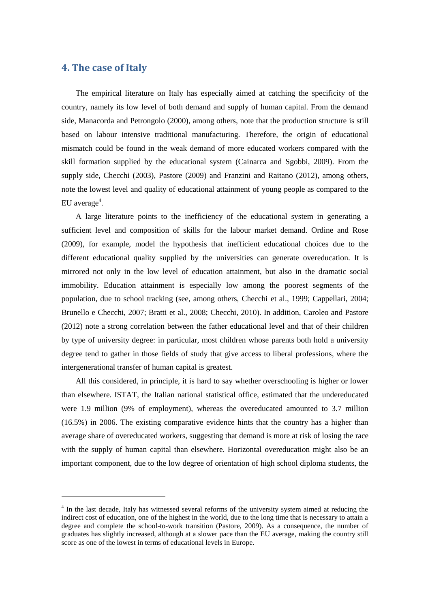# **4. The case of Italy**

1

The empirical literature on Italy has especially aimed at catching the specificity of the country, namely its low level of both demand and supply of human capital. From the demand side, Manacorda and Petrongolo (2000), among others, note that the production structure is still based on labour intensive traditional manufacturing. Therefore, the origin of educational mismatch could be found in the weak demand of more educated workers compared with the skill formation supplied by the educational system (Cainarca and Sgobbi, 2009). From the supply side, Checchi (2003), Pastore (2009) and Franzini and Raitano (2012), among others, note the lowest level and quality of educational attainment of young people as compared to the EU average<sup>4</sup>.

A large literature points to the inefficiency of the educational system in generating a sufficient level and composition of skills for the labour market demand. Ordine and Rose (2009), for example, model the hypothesis that inefficient educational choices due to the different educational quality supplied by the universities can generate overeducation. It is mirrored not only in the low level of education attainment, but also in the dramatic social immobility. Education attainment is especially low among the poorest segments of the population, due to school tracking (see, among others, Checchi et al., 1999; Cappellari, 2004; Brunello e Checchi, 2007; Bratti et al., 2008; Checchi, 2010). In addition, Caroleo and Pastore (2012) note a strong correlation between the father educational level and that of their children by type of university degree: in particular, most children whose parents both hold a university degree tend to gather in those fields of study that give access to liberal professions, where the intergenerational transfer of human capital is greatest.

All this considered, in principle, it is hard to say whether overschooling is higher or lower than elsewhere. ISTAT, the Italian national statistical office, estimated that the undereducated were 1.9 million (9% of employment), whereas the overeducated amounted to 3.7 million (16.5%) in 2006. The existing comparative evidence hints that the country has a higher than average share of overeducated workers, suggesting that demand is more at risk of losing the race with the supply of human capital than elsewhere. Horizontal overeducation might also be an important component, due to the low degree of orientation of high school diploma students, the

<sup>&</sup>lt;sup>4</sup> In the last decade, Italy has witnessed several reforms of the university system aimed at reducing the indirect cost of education, one of the highest in the world, due to the long time that is necessary to attain a degree and complete the school-to-work transition (Pastore, 2009). As a consequence, the number of graduates has slightly increased, although at a slower pace than the EU average, making the country still score as one of the lowest in terms of educational levels in Europe.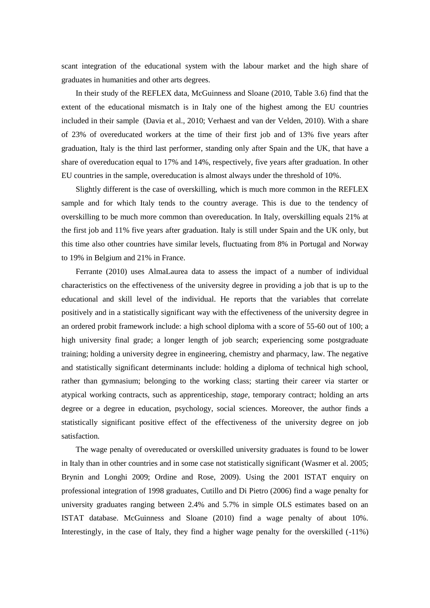scant integration of the educational system with the labour market and the high share of graduates in humanities and other arts degrees.

In their study of the REFLEX data, McGuinness and Sloane (2010, Table 3.6) find that the extent of the educational mismatch is in Italy one of the highest among the EU countries included in their sample (Davia et al., 2010; Verhaest and van der Velden, 2010). With a share of 23% of overeducated workers at the time of their first job and of 13% five years after graduation, Italy is the third last performer, standing only after Spain and the UK, that have a share of overeducation equal to 17% and 14%, respectively, five years after graduation. In other EU countries in the sample, overeducation is almost always under the threshold of 10%.

Slightly different is the case of overskilling, which is much more common in the REFLEX sample and for which Italy tends to the country average. This is due to the tendency of overskilling to be much more common than overeducation. In Italy, overskilling equals 21% at the first job and 11% five years after graduation. Italy is still under Spain and the UK only, but this time also other countries have similar levels, fluctuating from 8% in Portugal and Norway to 19% in Belgium and 21% in France.

Ferrante (2010) uses AlmaLaurea data to assess the impact of a number of individual characteristics on the effectiveness of the university degree in providing a job that is up to the educational and skill level of the individual. He reports that the variables that correlate positively and in a statistically significant way with the effectiveness of the university degree in an ordered probit framework include: a high school diploma with a score of 55-60 out of 100; a high university final grade; a longer length of job search; experiencing some postgraduate training; holding a university degree in engineering, chemistry and pharmacy, law. The negative and statistically significant determinants include: holding a diploma of technical high school, rather than gymnasium; belonging to the working class; starting their career via starter or atypical working contracts, such as apprenticeship, *stage*, temporary contract; holding an arts degree or a degree in education, psychology, social sciences. Moreover, the author finds a statistically significant positive effect of the effectiveness of the university degree on job satisfaction.

The wage penalty of overeducated or overskilled university graduates is found to be lower in Italy than in other countries and in some case not statistically significant (Wasmer et al. 2005; Brynin and Longhi 2009; Ordine and Rose, 2009). Using the 2001 ISTAT enquiry on professional integration of 1998 graduates, Cutillo and Di Pietro (2006) find a wage penalty for university graduates ranging between 2.4% and 5.7% in simple OLS estimates based on an ISTAT database. McGuinness and Sloane (2010) find a wage penalty of about 10%. Interestingly, in the case of Italy, they find a higher wage penalty for the overskilled (-11%)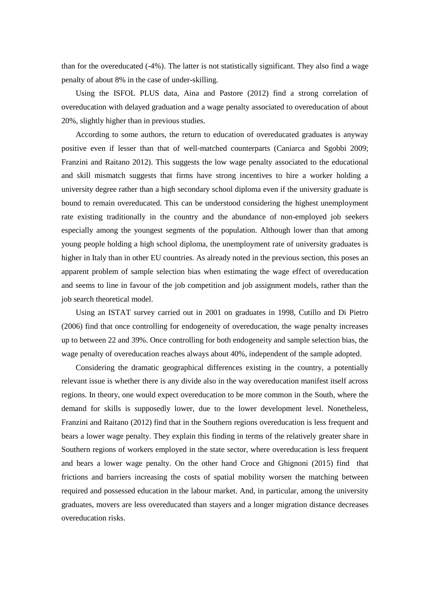than for the overeducated (-4%). The latter is not statistically significant. They also find a wage penalty of about 8% in the case of under-skilling.

Using the ISFOL PLUS data, Aina and Pastore (2012) find a strong correlation of overeducation with delayed graduation and a wage penalty associated to overeducation of about 20%, slightly higher than in previous studies.

According to some authors, the return to education of overeducated graduates is anyway positive even if lesser than that of well-matched counterparts (Caniarca and Sgobbi 2009; Franzini and Raitano 2012). This suggests the low wage penalty associated to the educational and skill mismatch suggests that firms have strong incentives to hire a worker holding a university degree rather than a high secondary school diploma even if the university graduate is bound to remain overeducated. This can be understood considering the highest unemployment rate existing traditionally in the country and the abundance of non-employed job seekers especially among the youngest segments of the population. Although lower than that among young people holding a high school diploma, the unemployment rate of university graduates is higher in Italy than in other EU countries. As already noted in the previous section, this poses an apparent problem of sample selection bias when estimating the wage effect of overeducation and seems to line in favour of the job competition and job assignment models, rather than the job search theoretical model.

Using an ISTAT survey carried out in 2001 on graduates in 1998, Cutillo and Di Pietro (2006) find that once controlling for endogeneity of overeducation, the wage penalty increases up to between 22 and 39%. Once controlling for both endogeneity and sample selection bias, the wage penalty of overeducation reaches always about 40%, independent of the sample adopted.

Considering the dramatic geographical differences existing in the country, a potentially relevant issue is whether there is any divide also in the way overeducation manifest itself across regions. In theory, one would expect overeducation to be more common in the South, where the demand for skills is supposedly lower, due to the lower development level. Nonetheless, Franzini and Raitano (2012) find that in the Southern regions overeducation is less frequent and bears a lower wage penalty. They explain this finding in terms of the relatively greater share in Southern regions of workers employed in the state sector, where overeducation is less frequent and bears a lower wage penalty. On the other hand Croce and Ghignoni (2015) find that frictions and barriers increasing the costs of spatial mobility worsen the matching between required and possessed education in the labour market. And, in particular, among the university graduates, movers are less overeducated than stayers and a longer migration distance decreases overeducation risks.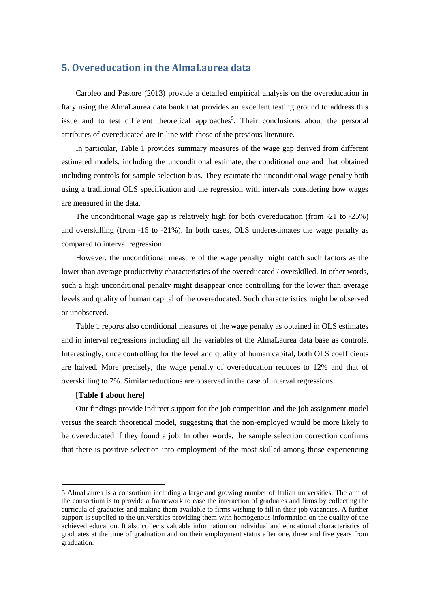## **5. Overeducation in the AlmaLaurea data**

Caroleo and Pastore (2013) provide a detailed empirical analysis on the overeducation in Italy using the AlmaLaurea data bank that provides an excellent testing ground to address this issue and to test different theoretical approaches<sup>5</sup>. Their conclusions about the personal attributes of overeducated are in line with those of the previous literature.

In particular, Table 1 provides summary measures of the wage gap derived from different estimated models, including the unconditional estimate, the conditional one and that obtained including controls for sample selection bias. They estimate the unconditional wage penalty both using a traditional OLS specification and the regression with intervals considering how wages are measured in the data.

The unconditional wage gap is relatively high for both overeducation (from -21 to -25%) and overskilling (from -16 to -21%). In both cases, OLS underestimates the wage penalty as compared to interval regression.

However, the unconditional measure of the wage penalty might catch such factors as the lower than average productivity characteristics of the overeducated / overskilled. In other words, such a high unconditional penalty might disappear once controlling for the lower than average levels and quality of human capital of the overeducated. Such characteristics might be observed or unobserved.

Table 1 reports also conditional measures of the wage penalty as obtained in OLS estimates and in interval regressions including all the variables of the AlmaLaurea data base as controls. Interestingly, once controlling for the level and quality of human capital, both OLS coefficients are halved. More precisely, the wage penalty of overeducation reduces to 12% and that of overskilling to 7%. Similar reductions are observed in the case of interval regressions.

#### **[Table 1 about here]**

**.** 

Our findings provide indirect support for the job competition and the job assignment model versus the search theoretical model, suggesting that the non-employed would be more likely to be overeducated if they found a job. In other words, the sample selection correction confirms that there is positive selection into employment of the most skilled among those experiencing

<sup>5</sup> AlmaLaurea is a consortium including a large and growing number of Italian universities. The aim of the consortium is to provide a framework to ease the interaction of graduates and firms by collecting the curricula of graduates and making them available to firms wishing to fill in their job vacancies. A further support is supplied to the universities providing them with homogenous information on the quality of the achieved education. It also collects valuable information on individual and educational characteristics of graduates at the time of graduation and on their employment status after one, three and five years from graduation.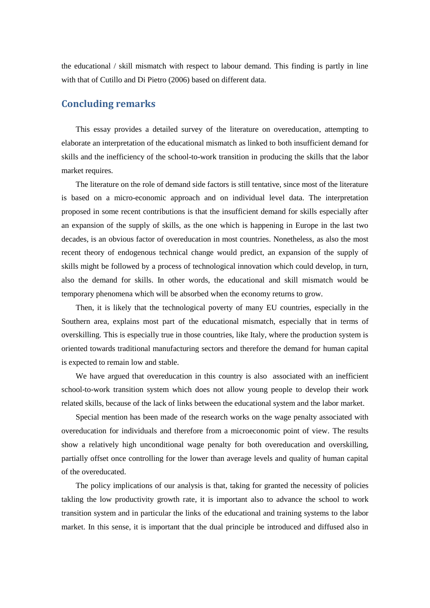the educational / skill mismatch with respect to labour demand. This finding is partly in line with that of Cutillo and Di Pietro (2006) based on different data.

### **Concluding remarks**

This essay provides a detailed survey of the literature on overeducation, attempting to elaborate an interpretation of the educational mismatch as linked to both insufficient demand for skills and the inefficiency of the school-to-work transition in producing the skills that the labor market requires.

The literature on the role of demand side factors is still tentative, since most of the literature is based on a micro-economic approach and on individual level data. The interpretation proposed in some recent contributions is that the insufficient demand for skills especially after an expansion of the supply of skills, as the one which is happening in Europe in the last two decades, is an obvious factor of overeducation in most countries. Nonetheless, as also the most recent theory of endogenous technical change would predict, an expansion of the supply of skills might be followed by a process of technological innovation which could develop, in turn, also the demand for skills. In other words, the educational and skill mismatch would be temporary phenomena which will be absorbed when the economy returns to grow.

Then, it is likely that the technological poverty of many EU countries, especially in the Southern area, explains most part of the educational mismatch, especially that in terms of overskilling. This is especially true in those countries, like Italy, where the production system is oriented towards traditional manufacturing sectors and therefore the demand for human capital is expected to remain low and stable.

We have argued that overeducation in this country is also associated with an inefficient school-to-work transition system which does not allow young people to develop their work related skills, because of the lack of links between the educational system and the labor market.

Special mention has been made of the research works on the wage penalty associated with overeducation for individuals and therefore from a microeconomic point of view. The results show a relatively high unconditional wage penalty for both overeducation and overskilling, partially offset once controlling for the lower than average levels and quality of human capital of the overeducated.

The policy implications of our analysis is that, taking for granted the necessity of policies takling the low productivity growth rate, it is important also to advance the school to work transition system and in particular the links of the educational and training systems to the labor market. In this sense, it is important that the dual principle be introduced and diffused also in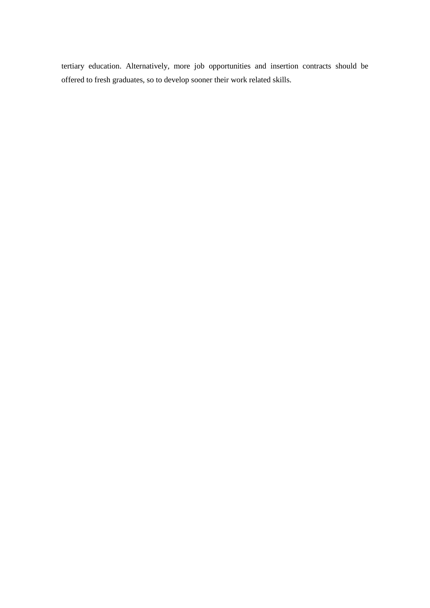tertiary education. Alternatively, more job opportunities and insertion contracts should be offered to fresh graduates, so to develop sooner their work related skills.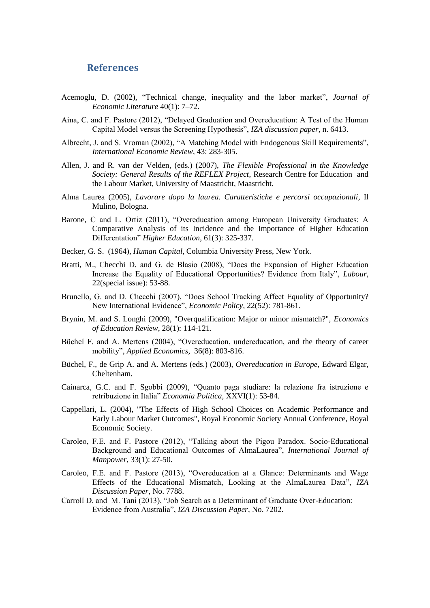### **References**

- Acemoglu, D. (2002), "Technical change, inequality and the labor market", *Journal of Economic Literature* 40(1): 7–72.
- Aina, C. and F. Pastore (2012), "Delayed Graduation and Overeducation: A Test of the Human Capital Model versus the Screening Hypothesis", *IZA discussion paper*, n. 6413.
- Albrecht, J. and S. Vroman (2002), "A Matching Model with Endogenous Skill Requirements", *International Economic Review*, 43: 283-305.
- Allen, J. and R. van der Velden, (eds.) (2007), *The Flexible Professional in the Knowledge Society: General Results of the REFLEX Project*, Research Centre for Education and the Labour Market, University of Maastricht, Maastricht.
- Alma Laurea (2005), *Lavorare dopo la laurea. Caratteristiche e percorsi occupazionali*, Il Mulino, Bologna.
- Barone, C and L. Ortiz (2011), "Overeducation among European University Graduates: A Comparative Analysis of its Incidence and the Importance of Higher Education Differentation" *Higher Education*, 61(3): 325-337.
- Becker, G. S. (1964), *Human Capital*, Columbia University Press, New York.
- Bratti, M., Checchi D. and G. de Blasio (2008), "Does the Expansion of Higher Education Increase the Equality of Educational Opportunities? Evidence from Italy", *Labour*, 22(special issue): 53-88.
- Brunello, G. and D. Checchi (2007), "Does School Tracking Affect Equality of Opportunity? New International Evidence", *Economic Policy*, 22(52): 781-861.
- Brynin, M. and S. Longhi (2009), "Overqualification: Major or minor mismatch?", *Economics of Education Review*, 28(1): 114-121.
- Büchel F. and A. Mertens (2004), "Overeducation, undereducation, and the theory of career mobility", *Applied Economics*, 36(8): 803-816.
- Büchel, F., de Grip A. and A. Mertens (eds.) (2003), *Overeducation in Europe*, Edward Elgar, Cheltenham.
- Cainarca, G.C. and F. Sgobbi (2009), "Quanto paga studiare: la relazione fra istruzione e retribuzione in Italia" *Economia Politica*, XXVI(1): 53-84.
- Cappellari, L. (2004), "The Effects of High School Choices on Academic Performance and Early Labour Market Outcomes", Royal Economic Society Annual Conference, Royal Economic Society.
- Caroleo, F.E. and F. Pastore (2012), "Talking about the Pigou Paradox. Socio-Educational Background and Educational Outcomes of AlmaLaurea", *International Journal of Manpower*, 33(1): 27-50.
- Caroleo, F.E. and F. Pastore (2013), "Overeducation at a Glance: Determinants and Wage Effects of the Educational Mismatch, Looking at the AlmaLaurea Data", *IZA Discussion Paper*, No. 7788.
- Carroll D. and M. Tani (2013), "Job Search as a Determinant of Graduate Over-Education: Evidence from Australia", *IZA Discussion Paper*, No. 7202.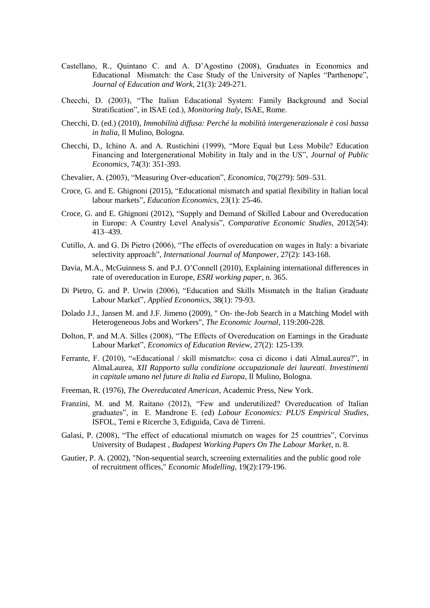- Castellano, R., Quintano C. and A. D'Agostino (2008), Graduates in Economics and Educational Mismatch: the Case Study of the University of Naples "Parthenope", *Journal of Education and Work*, 21(3): 249-271.
- Checchi, D. (2003), "The Italian Educational System: Family Background and Social Stratification", in ISAE (ed.), *Monitoring Italy*, ISAE, Rome.
- Checchi, D. (ed.) (2010), *Immobilità diffusa: Perché la mobilità intergenerazionale è così bassa in Italia*, Il Mulino, Bologna.
- Checchi, D., Ichino A. and A. Rustichini (1999), "More Equal but Less Mobile? Education Financing and Intergenerational Mobility in Italy and in the US", *Journal of Public Economics*, 74(3): 351-393.
- Chevalier, A. (2003), "Measuring Over-education", *Economica*, 70(279): 509–531.
- Croce, G. and E. Ghignoni (2015), "Educational mismatch and spatial flexibility in Italian local labour markets", *Education Economics,* 23(1): 25-46.
- Croce, G. and E. Ghignoni (2012), "Supply and Demand of Skilled Labour and Overeducation in Europe: A Country Level Analysis", *Comparative Economic Studies*, 2012(54): 413–439.
- Cutillo, A. and G. Di Pietro (2006), "The effects of overeducation on wages in Italy: a bivariate selectivity approach", *International Journal of Manpower*, 27(2): 143-168.
- Davia, M.A., McGuinness S. and P.J. O'Connell (2010), Explaining international differences in rate of overeducation in Europe, *ESRI working paper*, n. 365.
- Di Pietro, G. and P. Urwin (2006), "Education and Skills Mismatch in the Italian Graduate Labour Market", *Applied Economics*, 38(1): 79-93.
- Dolado J.J., Jansen M. and J.F. Jimeno (2009), " On- the-Job Search in a Matching Model with Heterogeneous Jobs and Workers", *The Economic Journal*, 119:200-228.
- Dolton, P. and M.A. Silles (2008), "The Effects of Overeducation on Earnings in the Graduate Labour Market", *Economics of Education Review*, 27(2): 125-139.
- Ferrante, F. (2010), "«Educational / skill mismatch»: cosa ci dicono i dati AlmaLaurea?", in AlmaLaurea, *XII Rapporto sulla condizione occupazionale dei laureati. Investimenti in capitale umano nel future di Italia ed Europa*, Il Mulino, Bologna.
- Freeman, R. (1976), *The Overeducated American*, Academic Press, New York.
- Franzini, M. and M. Raitano (2012), "Few and underutilized? Overeducation of Italian graduates", in E. Mandrone E. (ed) *Labour Economics: PLUS Empirical Studies*, ISFOL, Temi e Ricerche 3, Ediguida, Cava dè Tirreni.
- Galasi, P. (2008), "The effect of educational mismatch on wages for 25 countries", Corvinus University of Budapest , *Budapest Working Papers On The Labour Market*, n. 8.
- Gautier, P. A. (2002), "Non-sequential search, screening externalities and the public good role of recruitment offices," *Economic Modelling*, 19(2):179-196.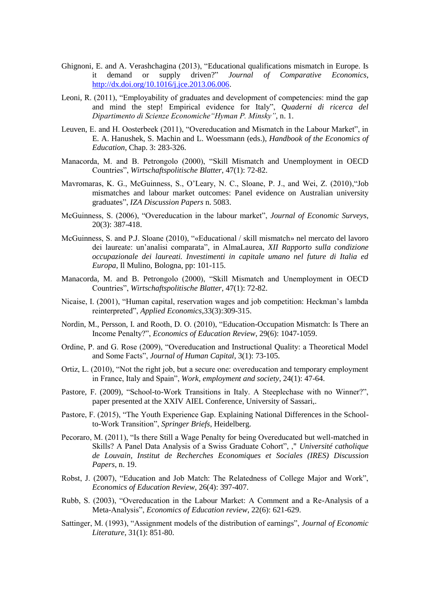- Ghignoni, E. and A. Verashchagina (2013), "Educational qualifications mismatch in Europe. Is demand or supply driven?" *Journal of Comparative Economics*, [http://dx.doi.org/10.1016/j.jce.2013.06.006.](http://dx.doi.org/10.1016/j.jce.2013.06.006)
- Leoni, R. (2011), "Employability of graduates and development of competencies: mind the gap and mind the step! Empirical evidence for Italy", *Quaderni di ricerca del Dipartimento di Scienze Economiche"Hyman P. Minsky"*, n. 1.
- Leuven, E. and H. Oosterbeek (2011), "Overeducation and Mismatch in the Labour Market", in E. A. Hanushek, S. Machin and L. Woessmann (eds.), *Handbook of the Economics of Education*, Chap. 3: 283-326.
- Manacorda, M. and B. Petrongolo (2000), "Skill Mismatch and Unemployment in OECD Countries", *Wirtschaftspolitische Blatter*, 47(1): 72-82.
- Mavromaras, K. G., McGuinness, S., O'Leary, N. C., Sloane, P. J., and Wei, Z. (2010),"Job mismatches and labour market outcomes: Panel evidence on Australian university graduates", *IZA Discussion Papers* n. 5083.
- McGuinness, S. (2006), "Overeducation in the labour market", *Journal of Economic Surveys*, 20(3): 387-418.
- McGuinness, S. and P.J. Sloane (2010), "«Educational / skill mismatch» nel mercato del lavoro dei laureate: un'analisi comparata", in AlmaLaurea, *XII Rapporto sulla condizione occupazionale dei laureati. Investimenti in capitale umano nel future di Italia ed Europa*, Il Mulino, Bologna, pp: 101-115.
- Manacorda, M. and B. Petrongolo (2000), "Skill Mismatch and Unemployment in OECD Countries", *Wirtschaftspolitische Blatter*, 47(1): 72-82.
- Nicaise, I. (2001), "Human capital, reservation wages and job competition: Heckman's lambda reinterpreted", *Applied Economics*,33(3):309-315.
- Nordin, M., Persson, I. and Rooth, D. O. (2010), "Education-Occupation Mismatch: Is There an Income Penalty?", *Economics of Education Review*, 29(6): 1047-1059.
- Ordine, P. and G. Rose (2009), "Overeducation and Instructional Quality: a Theoretical Model and Some Facts", *Journal of Human Capital*, 3(1): 73-105.
- Ortiz, L. (2010), "Not the right job, but a secure one: overeducation and temporary employment in France, Italy and Spain", *Work, employment and society*, 24(1): 47-64.
- Pastore, F. (2009), "School-to-Work Transitions in Italy. A Steeplechase with no Winner?", paper presented at the XXIV AIEL Conference, University of Sassari,.
- Pastore, F. (2015), "The Youth Experience Gap. Explaining National Differences in the Schoolto-Work Transition", *Springer Briefs*, Heidelberg.
- Pecoraro, M. (2011), "Is there Still a Wage Penalty for being Overeducated but well-matched in Skills? A Panel Data Analysis of a Swiss Graduate Cohort", ," *Université catholique de Louvain, Institut de Recherches Economiques et Sociales (IRES) Discussion Papers*, n. 19.
- Robst, J. (2007), "Education and Job Match: The Relatedness of College Major and Work", *Economics of Education Review*, 26(4): 397-407.
- Rubb, S. (2003), "Overeducation in the Labour Market: A Comment and a Re-Analysis of a Meta-Analysis", *Economics of Education review*, 22(6): 621-629.
- Sattinger, M. (1993), "Assignment models of the distribution of earnings", *Journal of Economic Literature*, 31(1): 851-80.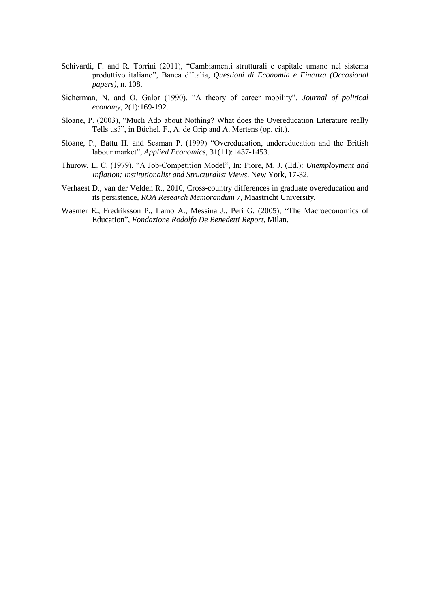- Schivardi, F. and R. Torrini (2011), "Cambiamenti strutturali e capitale umano nel sistema produttivo italiano", Banca d'Italia, *Questioni di Economia e Finanza (Occasional papers)*, n. 108.
- Sicherman, N. and O. Galor (1990), "A theory of career mobility", *Journal of political economy*, 2(1):169-192.
- Sloane, P. (2003), "Much Ado about Nothing? What does the Overeducation Literature really Tells us?", in Büchel, F., A. de Grip and A. Mertens (op. cit.).
- Sloane, P., Battu H. and Seaman P. (1999) "Overeducation, undereducation and the British labour market", *Applied Economics*, 31(11):1437-1453.
- Thurow, L. C. (1979), "A Job-Competition Model", In: Piore, M. J. (Ed.): *Unemployment and Inflation: Institutionalist and Structuralist Views*. New York, 17-32.
- Verhaest D., van der Velden R., 2010, Cross-country differences in graduate overeducation and its persistence, *ROA Research Memorandum* 7, Maastricht University.
- Wasmer E., Fredriksson P., Lamo A., Messina J., Peri G. (2005), "The Macroeconomics of Education", *Fondazione Rodolfo De Benedetti Report*, Milan.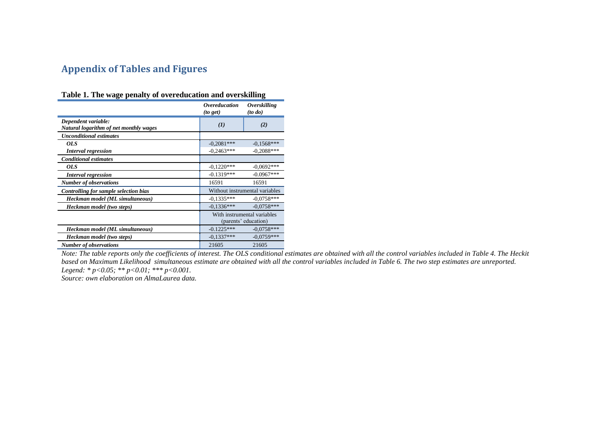# **Appendix of Tables and Figures**

|                                                               | <i><b>Overeducation</b></i><br>(to get) | <i><b>Overskilling</b></i><br>$($ to do $)$         |  |
|---------------------------------------------------------------|-----------------------------------------|-----------------------------------------------------|--|
| Dependent variable:<br>Natural logarithm of net monthly wages | (I)                                     | (2)                                                 |  |
| <b>Unconditional estimates</b>                                |                                         |                                                     |  |
| OLS                                                           | $-0.2081***$                            | $-0.1568***$                                        |  |
| <b>Interval regression</b>                                    | $-0.2463***$                            | $-0.2088***$                                        |  |
| <b>Conditional estimates</b>                                  |                                         |                                                     |  |
| <i>OLS</i>                                                    | $-0.1220***$                            | $-0.0692***$                                        |  |
| <b>Interval regression</b>                                    | $-0.1319***$                            | $-0.0967***$                                        |  |
| <b>Number of observations</b>                                 | 16591                                   | 16591                                               |  |
| Controlling for sample selection bias                         |                                         | Without instrumental variables                      |  |
| Heckman model (ML simultaneous)                               | $-0.1335***$                            | $-0.0758***$                                        |  |
| Heckman model (two steps)                                     | $-0.1336***$                            | $-0.0758***$                                        |  |
|                                                               |                                         | With instrumental variables<br>(parents' education) |  |
| Heckman model (ML simultaneous)                               | $-0.1225***$                            | $-0.0758***$                                        |  |
| Heckman model (two steps)                                     | $-0.1337***$                            | $-0.0759***$                                        |  |
| <b>Number of observations</b>                                 | 21605                                   | 21605                                               |  |

**Table 1. The wage penalty of overeducation and overskilling**

*Note: The table reports only the coefficients of interest. The OLS conditional estimates are obtained with all the control variables included in Table 4. The Heckit based on Maximum Likelihood simultaneous estimate are obtained with all the control variables included in Table 6. The two step estimates are unreported. Legend: \* p<0.05; \*\* p<0.01; \*\*\* p<0.001.* 

*Source: own elaboration on AlmaLaurea data.*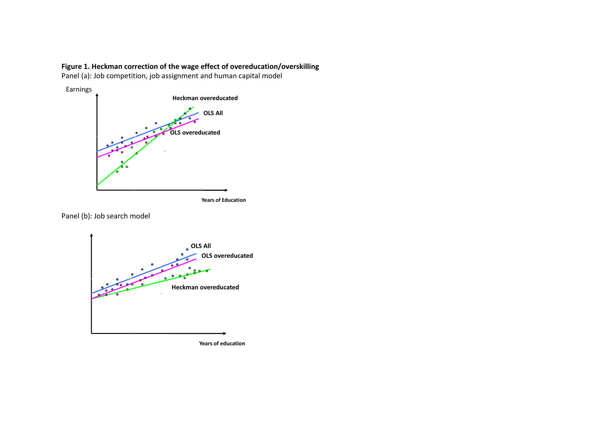### **Figure 1. Heckman correction of the wage effect of overeducation/overskilling**

Panel (a): Job competition, job assignment and human capital model



Panel (b): Job search model



**Years of education**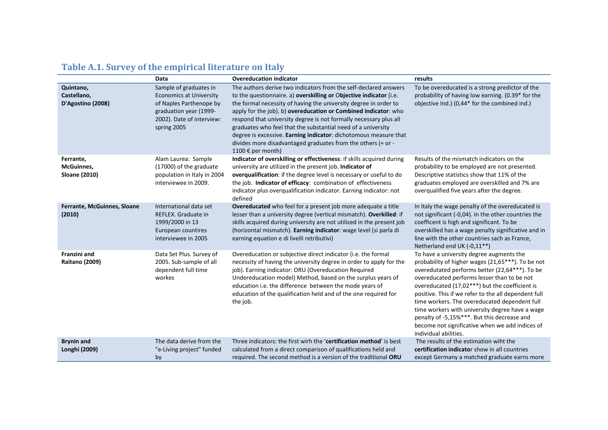|                                                        | Data                                                                                                                                                      | <b>Overeducation indicator</b>                                                                                                                                                                                                                                                                                                                                                                                                                                                                                                                                              | results                                                                                                                                                                                                                                                                                                                                                                                                                                                                                                                                 |
|--------------------------------------------------------|-----------------------------------------------------------------------------------------------------------------------------------------------------------|-----------------------------------------------------------------------------------------------------------------------------------------------------------------------------------------------------------------------------------------------------------------------------------------------------------------------------------------------------------------------------------------------------------------------------------------------------------------------------------------------------------------------------------------------------------------------------|-----------------------------------------------------------------------------------------------------------------------------------------------------------------------------------------------------------------------------------------------------------------------------------------------------------------------------------------------------------------------------------------------------------------------------------------------------------------------------------------------------------------------------------------|
| Quintano,<br>Castellano,<br>D'Agostino (2008)          | Sample of graduates in<br><b>Economics at University</b><br>of Naples Parthenope by<br>graduation year (1999-<br>2002). Date of interview:<br>spring 2005 | The authors derive two indicators from the self-declared answers<br>to the questionnaire. a) overskilling or Objective indicator (i.e.<br>the formal necessity of having the university degree in order to<br>apply for the job). b) overeducation or Combined indicator: who<br>respond that university degree is not formally necessary plus all<br>graduates who feel that the substantial need of a university<br>degree is excessive. Earning indicator: dichotomous measure that<br>divides more disadvantaged graduates from the others (+ or -<br>1100 € per month) | To be overeducated is a strong predictor of the<br>probability of having low earning. (0.39* for the<br>objective Ind.) (0,44* for the combined ind.)                                                                                                                                                                                                                                                                                                                                                                                   |
| Ferrante,<br><b>McGuinnes,</b><br><b>Sloane (2010)</b> | Alam Laurea: Sample<br>(17000) of the graduate<br>population in Italy in 2004<br>interviewee in 2009.                                                     | Indicator of overskilling or effectiveness: if skills acquired during<br>university are utilized in the present job. Indicator of<br>overqualification: if the degree level is necessary or useful to do<br>the job. Indicator of efficacy: combination of effectiveness<br>indicator plus overqualification indicator. Earning indicator: not<br>defined                                                                                                                                                                                                                   | Results of the mismatch indicators on the<br>probability to be employed are not presented.<br>Descriptive statistics show that 11% of the<br>graduates employed are overskilled and 7% are<br>overqualified five years after the degree.                                                                                                                                                                                                                                                                                                |
| Ferrante, McGuinnes, Sloane<br>(2010)                  | International data set<br>REFLEX. Graduate in<br>1999/2000 in 13<br>European countires<br>interviewee in 2005                                             | Overeducated who feel for a present job more adequate a title<br>lesser than a university degree (vertical mismatch). Overkilled: if<br>skills acquired during university are not utilized in the present job<br>(horizontal mismatch). Earning indicator: wage level (si parla di<br>earning equation e di livelli retributivi)                                                                                                                                                                                                                                            | In Italy the wage penalty of the overeducated is<br>not significant (-0,04). In the other countries the<br>coefficent is high and significant. To be<br>overskilled has a wage penalty significative and in<br>line with the other countries sach as France,<br>Netherland end UK (-0,11**)                                                                                                                                                                                                                                             |
| <b>Franzini and</b><br><b>Raitano (2009)</b>           | Data Set Plus. Survey of<br>2005. Sub-sample of all<br>dependent full time<br>workes                                                                      | Overeducation or subjective direct indicator (i.e. the formal<br>necessity of having the university degree in order to apply for the<br>job). Earning indicator: ORU (Overeducation Required<br>Undereducation model) Method, based on the surplus years of<br>education i.e. the difference between the mode years of<br>education of the qualification held and of the one required for<br>the job.                                                                                                                                                                       | To have a university degree augments the<br>probability of higher wages (21,65***). To be not<br>overedutated performs better (22,64***). To be<br>overeducated performs lesser than to be not<br>overeducated (17,02***) but the coefficient is<br>positive. This if we refer to the all dependent full<br>time workers. The overeducated dependent full<br>time workers with university degree have a wage<br>penalty of -5,15%***. But this decrease and<br>become not significative when we add indices of<br>individual abilities. |
| <b>Brynin and</b><br>Longhi (2009)                     | The data derive from the<br>"e-Living project" funded<br>by                                                                                               | Three indicators: the first wirh the 'certification method' is best<br>calculated from a direct comparison of qualifications held and<br>required. The second method is a version of the traditional ORU                                                                                                                                                                                                                                                                                                                                                                    | The results of the estimation wiht the<br>certification indicator show in all countries<br>except Germany a matched graduate earns more                                                                                                                                                                                                                                                                                                                                                                                                 |

# **Table A.1. Survey of the empirical literature on Italy**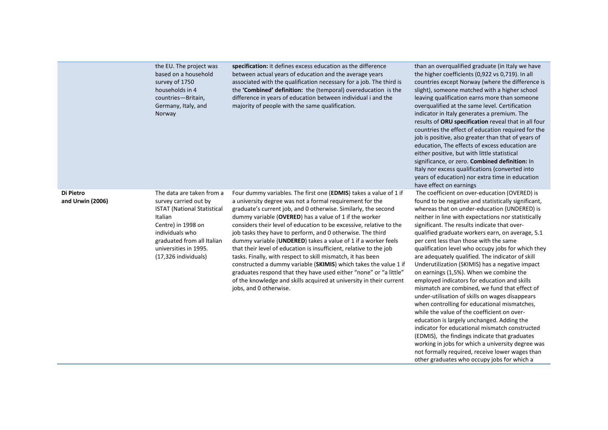|                               | the EU. The project was<br>based on a household<br>survey of 1750<br>households in 4<br>countries-Britain,<br>Germany, Italy, and<br>Norway                                                                                 | specification: it defines excess education as the difference<br>between actual years of education and the average years<br>associated with the qualification necessary for a job. The third is<br>the 'Combined' definition: the (temporal) overeducation is the<br>difference in years of education between individual i and the<br>majority of people with the same qualification.                                                                                                                                                                                                                                                                                                                                                                                                                                                           | than an overqualified graduate (in Italy we have<br>the higher coefficients (0,922 vs 0,719). In all<br>countries except Norway (where the difference is<br>slight), someone matched with a higher school<br>leaving qualification earns more than someone<br>overqualified at the same level. Certification<br>indicator in Italy generates a premium. The<br>results of ORU specification reveal that in all four<br>countries the effect of education required for the<br>job is positive, also greater than that of years of<br>education, The effects of excess education are<br>either positive, but with little statistical<br>significance, or zero. Combined definition: In<br>Italy nor excess qualifications (converted into<br>years of education) nor extra time in education<br>have effect on earnings                                                                                                                                                                                                                                                                                                        |
|-------------------------------|-----------------------------------------------------------------------------------------------------------------------------------------------------------------------------------------------------------------------------|------------------------------------------------------------------------------------------------------------------------------------------------------------------------------------------------------------------------------------------------------------------------------------------------------------------------------------------------------------------------------------------------------------------------------------------------------------------------------------------------------------------------------------------------------------------------------------------------------------------------------------------------------------------------------------------------------------------------------------------------------------------------------------------------------------------------------------------------|------------------------------------------------------------------------------------------------------------------------------------------------------------------------------------------------------------------------------------------------------------------------------------------------------------------------------------------------------------------------------------------------------------------------------------------------------------------------------------------------------------------------------------------------------------------------------------------------------------------------------------------------------------------------------------------------------------------------------------------------------------------------------------------------------------------------------------------------------------------------------------------------------------------------------------------------------------------------------------------------------------------------------------------------------------------------------------------------------------------------------|
| Di Pietro<br>and Urwin (2006) | The data are taken from a<br>survey carried out by<br><b>ISTAT (National Statistical</b><br>Italian<br>Centre) in 1998 on<br>individuals who<br>graduated from all Italian<br>universities in 1995.<br>(17,326 individuals) | Four dummy variables. The first one (EDMIS) takes a value of 1 if<br>a university degree was not a formal requirement for the<br>graduate's current job, and 0 otherwise. Similarly, the second<br>dummy variable (OVERED) has a value of 1 if the worker<br>considers their level of education to be excessive, relative to the<br>job tasks they have to perform, and 0 otherwise. The third<br>dummy variable (UNDERED) takes a value of 1 if a worker feels<br>that their level of education is insufficient, relative to the job<br>tasks. Finally, with respect to skill mismatch, it has been<br>constructed a dummy variable (SKIMIS) which takes the value 1 if<br>graduates respond that they have used either "none" or "a little"<br>of the knowledge and skills acquired at university in their current<br>jobs, and 0 otherwise. | The coefficient on over-education (OVERED) is<br>found to be negative and statistically significant,<br>whereas that on under-education (UNDERED) is<br>neither in line with expectations nor statistically<br>significant. The results indicate that over-<br>qualified graduate workers earn, on average, 5.1<br>per cent less than those with the same<br>qualification level who occupy jobs for which they<br>are adequately qualified. The indicator of skill<br>Underutilization (SKIMIS) has a negative impact<br>on earnings (1,5%). When we combine the<br>employed indicators for education and skills<br>mismatch are combined, we fund that effect of<br>under-utilisation of skills on wages disappears<br>when controlling for educational mismatches,<br>while the value of the coefficient on over-<br>education is largely unchanged. Adding the<br>indicator for educational mismatch constructed<br>(EDMIS), the findings indicate that graduates<br>working in jobs for which a university degree was<br>not formally required, receive lower wages than<br>other graduates who occupy jobs for which a |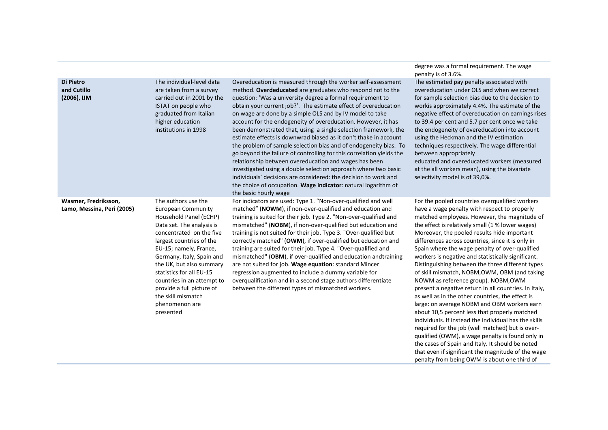|                                                    |                                                                                                                                                                                                                                                                                                                                                                                         |                                                                                                                                                                                                                                                                                                                                                                                                                                                                                                                                                                                                                                                                                                                                                                                                                                                                                                                                                                      | penalty is of 3.6%.                                                                                                                                                                                                                                                                                                                                                                                                                                                                                                                                                                                                                                                                                                                                                                                                                                                                                                                                                                                                                                |
|----------------------------------------------------|-----------------------------------------------------------------------------------------------------------------------------------------------------------------------------------------------------------------------------------------------------------------------------------------------------------------------------------------------------------------------------------------|----------------------------------------------------------------------------------------------------------------------------------------------------------------------------------------------------------------------------------------------------------------------------------------------------------------------------------------------------------------------------------------------------------------------------------------------------------------------------------------------------------------------------------------------------------------------------------------------------------------------------------------------------------------------------------------------------------------------------------------------------------------------------------------------------------------------------------------------------------------------------------------------------------------------------------------------------------------------|----------------------------------------------------------------------------------------------------------------------------------------------------------------------------------------------------------------------------------------------------------------------------------------------------------------------------------------------------------------------------------------------------------------------------------------------------------------------------------------------------------------------------------------------------------------------------------------------------------------------------------------------------------------------------------------------------------------------------------------------------------------------------------------------------------------------------------------------------------------------------------------------------------------------------------------------------------------------------------------------------------------------------------------------------|
| Di Pietro<br>and Cutillo<br>(2006), IJM            | The individual-level data<br>are taken from a survey<br>carried out in 2001 by the<br>ISTAT on people who<br>graduated from Italian<br>higher education<br>institutions in 1998                                                                                                                                                                                                         | Overeducation is measured through the worker self-assessment<br>method. Overdeducated are graduates who respond not to the<br>question: 'Was a university degree a formal requirement to<br>obtain your current job?'. The estimate effect of overeducation<br>on wage are done by a simple OLS and by IV model to take<br>account for the endogeneity of overeducation. However, it has<br>been demonstrated that, using a single selection framework, the<br>estimate effects is downwrad biased as it don't thake in account<br>the problem of sample selection bias and of endogeneity bias. To<br>go beyond the failure of controlling for this correlation yields the<br>relationship between overeducation and wages has been<br>investigated using a double selection approach where two basic<br>individuals' decisions are considered: the decision to work and<br>the choice of occupation. Wage indicator: natural logarithm of<br>the basic hourly wage | The estimated pay penalty associated with<br>overeducation under OLS and when we correct<br>for sample selection bias due to the decision to<br>workis approximately 4.4%. The estimate of the<br>negative effect of overeducation on earnings rises<br>to 39.4 per cent and 5.7 per cent once we take<br>the endogeneity of overeducation into account<br>using the Heckman and the IV estimation<br>techniques respectively. The wage differential<br>between appropriately<br>educated and overeducated workers (measured<br>at the all workers mean), using the bivariate<br>selectivity model is of 39,0%.                                                                                                                                                                                                                                                                                                                                                                                                                                    |
| Wasmer, Fredriksson,<br>Lamo, Messina, Peri (2005) | The authors use the<br>European Community<br>Household Panel (ECHP)<br>Data set. The analysis is<br>concentrated on the five<br>largest countries of the<br>EU-15; namely, France,<br>Germany, Italy, Spain and<br>the UK, but also summary<br>statistics for all EU-15<br>countries in an attempt to<br>provide a full picture of<br>the skill mismatch<br>phenomenon are<br>presented | For indicators are used: Type 1. "Non-over-qualified and well<br>matched" (NOWM), if non-over-qualified and education and<br>training is suited for their job. Type 2. "Non-over-qualified and<br>mismatched" (NOBM), if non-over-qualified but education and<br>training is not suited for their job. Type 3. "Over-qualified but<br>correctly matched" (OWM), if over-qualified but education and<br>training are suited for their job. Type 4. "Over-qualified and<br>mismatched" (OBM), if over-qualified and education andtraining<br>are not suited for job. Wage equation: standard Mincer<br>regression augmented to include a dummy variable for<br>overqualification and in a second stage authors differentiate<br>between the different types of mismatched workers.                                                                                                                                                                                     | For the pooled countries overqualified workers<br>have a wage penalty with respect to properly<br>matched employees. However, the magnitude of<br>the effect is relatively small (1 % lower wages)<br>Moreover, the pooled results hide important<br>differences across countries, since it is only in<br>Spain where the wage penalty of over-qualified<br>workers is negative and statistically significant.<br>Distinguishing between the three different types<br>of skill mismatch, NOBM, OWM, OBM (and taking<br>NOWM as reference group). NOBM, OWM<br>present a negative return in all countries. In Italy,<br>as well as in the other countries, the effect is<br>large: on average NOBM and OBM workers earn<br>about 10,5 percent less that properly matched<br>individuals. If instead the individual has the skills<br>required for the job (well matched) but is over-<br>qualified (OWM), a wage penalty is found only in<br>the cases of Spain and Italy. It should be noted<br>that even if significant the magnitude of the wage |

degree was a formal requirement. The wage

penalty from being OWM is about one third of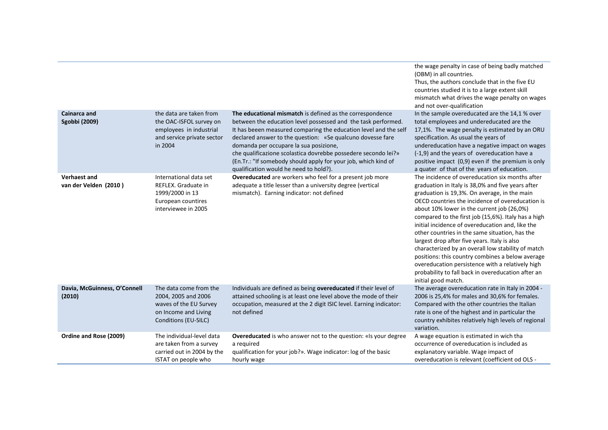|                                              |                                                                                                                         |                                                                                                                                                                                                                                                                                                                                                                                                                                                                                      | the wage penalty in case of being badly matched<br>(OBM) in all countries.<br>Thus, the authors conclude that in the five EU<br>countries studied it is to a large extent skill<br>mismatch what drives the wage penalty on wages<br>and not over-qualification                                                                                                                                                                                                                                                                                                                                                                                                                                                |
|----------------------------------------------|-------------------------------------------------------------------------------------------------------------------------|--------------------------------------------------------------------------------------------------------------------------------------------------------------------------------------------------------------------------------------------------------------------------------------------------------------------------------------------------------------------------------------------------------------------------------------------------------------------------------------|----------------------------------------------------------------------------------------------------------------------------------------------------------------------------------------------------------------------------------------------------------------------------------------------------------------------------------------------------------------------------------------------------------------------------------------------------------------------------------------------------------------------------------------------------------------------------------------------------------------------------------------------------------------------------------------------------------------|
| <b>Cainarca and</b><br>Sgobbi (2009)         | the data are taken from<br>the OAC-ISFOL survey on<br>employees in industrial<br>and service private sector<br>in 2004  | The educational mismatch is defined as the correspondence<br>between the education level possessed and the task performed.<br>It has beeen measured comparing the education level and the self<br>declared answer to the question: «Se qualcuno dovesse fare<br>domanda per occupare la sua posizione,<br>che qualificazione scolastica dovrebbe possedere secondo lei?»<br>(En.Tr.: "If somebody should apply for your job, which kind of<br>qualification would he need to hold?). | In the sample overeducated are the 14,1 % over<br>total employees and undereducated are the<br>17,1%. The wage penalty is estimated by an ORU<br>specification. As usual the years of<br>undereducation have a negative impact on wages<br>(-1,9) and the years of overeducation have a<br>positive impact (0,9) even if the premium is only<br>a quater of that of the years of education.                                                                                                                                                                                                                                                                                                                    |
| <b>Verhaest and</b><br>van der Velden (2010) | International data set<br>REFLEX. Graduate in<br>1999/2000 in 13<br>European countires<br>interviewee in 2005           | <b>Overeducated</b> are workers who feel for a present job more<br>adequate a title lesser than a university degree (vertical<br>mismatch). Earning indicator: not defined                                                                                                                                                                                                                                                                                                           | The incidence of overeducation six months after<br>graduation in Italy is 38,0% and five years after<br>graduation is 19,3%. On average, in the main<br>OECD countries the incidence of overeducation is<br>about 10% lower in the current job (26,0%)<br>compared to the first job (15,6%). Italy has a high<br>initial incidence of overeducation and, like the<br>other countries in the same situation, has the<br>largest drop after five years. Italy is also<br>characterized by an overall low stability of match<br>positions: this country combines a below average<br>overeducation persistence with a relatively high<br>probability to fall back in overeducation after an<br>initial good match. |
| Davia, McGuinness, O'Connell<br>(2010)       | The data come from the<br>2004, 2005 and 2006<br>waves of the EU Survey<br>on Income and Living<br>Conditions (EU-SILC) | Individuals are defined as being overeducated if their level of<br>attained schooling is at least one level above the mode of their<br>occupation, measured at the 2 digit ISIC level. Earning indicator:<br>not defined                                                                                                                                                                                                                                                             | The average overeducation rate in Italy in 2004 -<br>2006 is 25,4% for males and 30,6% for females.<br>Compared with the other countries the Italian<br>rate is one of the highest and in particular the<br>country exhibites relatively high levels of regional<br>variation.                                                                                                                                                                                                                                                                                                                                                                                                                                 |
| Ordine and Rose (2009)                       | The individual-level data<br>are taken from a survey<br>carried out in 2004 by the<br>ISTAT on people who               | <b>Overeducated</b> is who answer not to the question: «Is your degree<br>a required<br>qualification for your job?». Wage indicator: log of the basic<br>hourly wage                                                                                                                                                                                                                                                                                                                | A wage equation is estimated in wich tha<br>occurrence of overeducation is included as<br>explanatory variable. Wage impact of<br>overeducation is relevant (coefficient od OLS -                                                                                                                                                                                                                                                                                                                                                                                                                                                                                                                              |